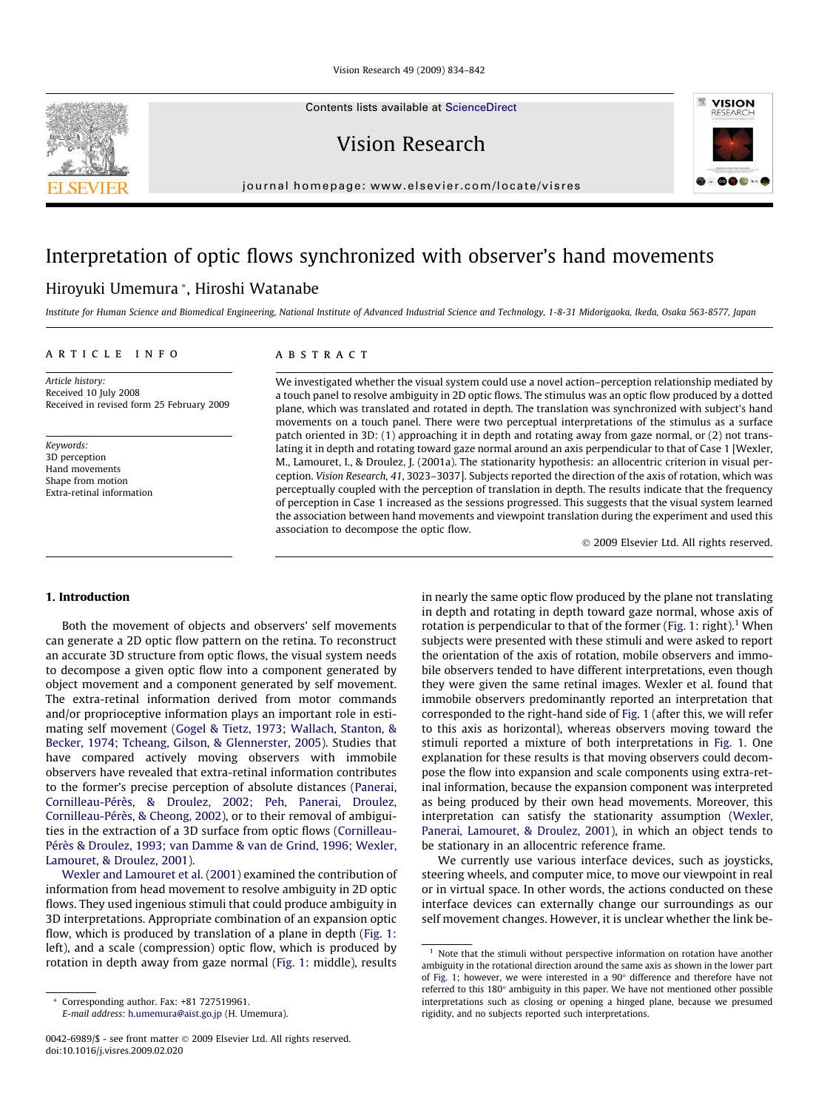Contents lists available at [ScienceDirect](http://www.sciencedirect.com/science/journal/00426989)

Vision Research

journal homepage: [www.elsevier.com/locate/visres](http://www.elsevier.com/locate/visres)

# Interpretation of optic flows synchronized with observer's hand movements

# Hiroyuki Umemura \*, Hiroshi Watanabe

Institute for Human Science and Biomedical Engineering, National Institute of Advanced Industrial Science and Technology, 1-8-31 Midorigaoka, Ikeda, Osaka 563-8577, Japan

#### article info

Article history: Received 10 July 2008 Received in revised form 25 February 2009

Keywords: 3D perception Hand movements Shape from motion Extra-retinal information

# ABSTRACT

We investigated whether the visual system could use a novel action–perception relationship mediated by a touch panel to resolve ambiguity in 2D optic flows. The stimulus was an optic flow produced by a dotted plane, which was translated and rotated in depth. The translation was synchronized with subject's hand movements on a touch panel. There were two perceptual interpretations of the stimulus as a surface patch oriented in 3D: (1) approaching it in depth and rotating away from gaze normal, or (2) not translating it in depth and rotating toward gaze normal around an axis perpendicular to that of Case 1 [Wexler, M., Lamouret, I., & Droulez, J. (2001a). The stationarity hypothesis: an allocentric criterion in visual perception. Vision Research, 41, 3023–3037]. Subjects reported the direction of the axis of rotation, which was perceptually coupled with the perception of translation in depth. The results indicate that the frequency of perception in Case 1 increased as the sessions progressed. This suggests that the visual system learned the association between hand movements and viewpoint translation during the experiment and used this association to decompose the optic flow.

- 2009 Elsevier Ltd. All rights reserved.

#### 1. Introduction

Both the movement of objects and observers' self movements can generate a 2D optic flow pattern on the retina. To reconstruct an accurate 3D structure from optic flows, the visual system needs to decompose a given optic flow into a component generated by object movement and a component generated by self movement. The extra-retinal information derived from motor commands and/or proprioceptive information plays an important role in estimating self movement ([Gogel & Tietz, 1973; Wallach, Stanton, &](#page-8-0) [Becker, 1974; Tcheang, Gilson, & Glennerster, 2005\)](#page-8-0). Studies that have compared actively moving observers with immobile observers have revealed that extra-retinal information contributes to the former's precise perception of absolute distances ([Panerai,](#page-8-0) [Cornilleau-Pérès, & Droulez, 2002; Peh, Panerai, Droulez,](#page-8-0) [Cornilleau-Pérès, & Cheong, 2002](#page-8-0)), or to their removal of ambiguities in the extraction of a 3D surface from optic flows ([Cornilleau-](#page-8-0)[Pérès & Droulez, 1993; van Damme & van de Grind, 1996; Wexler,](#page-8-0) [Lamouret, & Droulez, 2001\)](#page-8-0).

[Wexler and Lamouret et al. \(2001\)](#page-8-0) examined the contribution of information from head movement to resolve ambiguity in 2D optic flows. They used ingenious stimuli that could produce ambiguity in 3D interpretations. Appropriate combination of an expansion optic flow, which is produced by translation of a plane in depth [\(Fig. 1:](#page-1-0) left), and a scale (compression) optic flow, which is produced by rotation in depth away from gaze normal ([Fig. 1](#page-1-0): middle), results

E-mail address: [h.umemura@aist.go.jp](mailto:h.umemura@aist.go.jp) (H. Umemura).

in nearly the same optic flow produced by the plane not translating in depth and rotating in depth toward gaze normal, whose axis of rotation is perpendicular to that of the former ([Fig. 1](#page-1-0): right).<sup>1</sup> When subjects were presented with these stimuli and were asked to report the orientation of the axis of rotation, mobile observers and immobile observers tended to have different interpretations, even though they were given the same retinal images. Wexler et al. found that immobile observers predominantly reported an interpretation that corresponded to the right-hand side of [Fig. 1](#page-1-0) (after this, we will refer to this axis as horizontal), whereas observers moving toward the stimuli reported a mixture of both interpretations in [Fig. 1](#page-1-0). One explanation for these results is that moving observers could decompose the flow into expansion and scale components using extra-retinal information, because the expansion component was interpreted as being produced by their own head movements. Moreover, this interpretation can satisfy the stationarity assumption [\(Wexler,](#page-8-0) [Panerai, Lamouret, & Droulez, 2001](#page-8-0)), in which an object tends to be stationary in an allocentric reference frame.

We currently use various interface devices, such as joysticks, steering wheels, and computer mice, to move our viewpoint in real or in virtual space. In other words, the actions conducted on these interface devices can externally change our surroundings as our self movement changes. However, it is unclear whether the link be-





<sup>\*</sup> Corresponding author. Fax: +81 727519961.

<sup>0042-6989/\$ -</sup> see front matter © 2009 Elsevier Ltd. All rights reserved. doi:10.1016/j.visres.2009.02.020

 $^{\rm 1}$  Note that the stimuli without perspective information on rotation have another ambiguity in the rotational direction around the same axis as shown in the lower part of [Fig. 1;](#page-1-0) however, we were interested in a  $90^{\circ}$  difference and therefore have not referred to this 180° ambiguity in this paper. We have not mentioned other possible interpretations such as closing or opening a hinged plane, because we presumed rigidity, and no subjects reported such interpretations.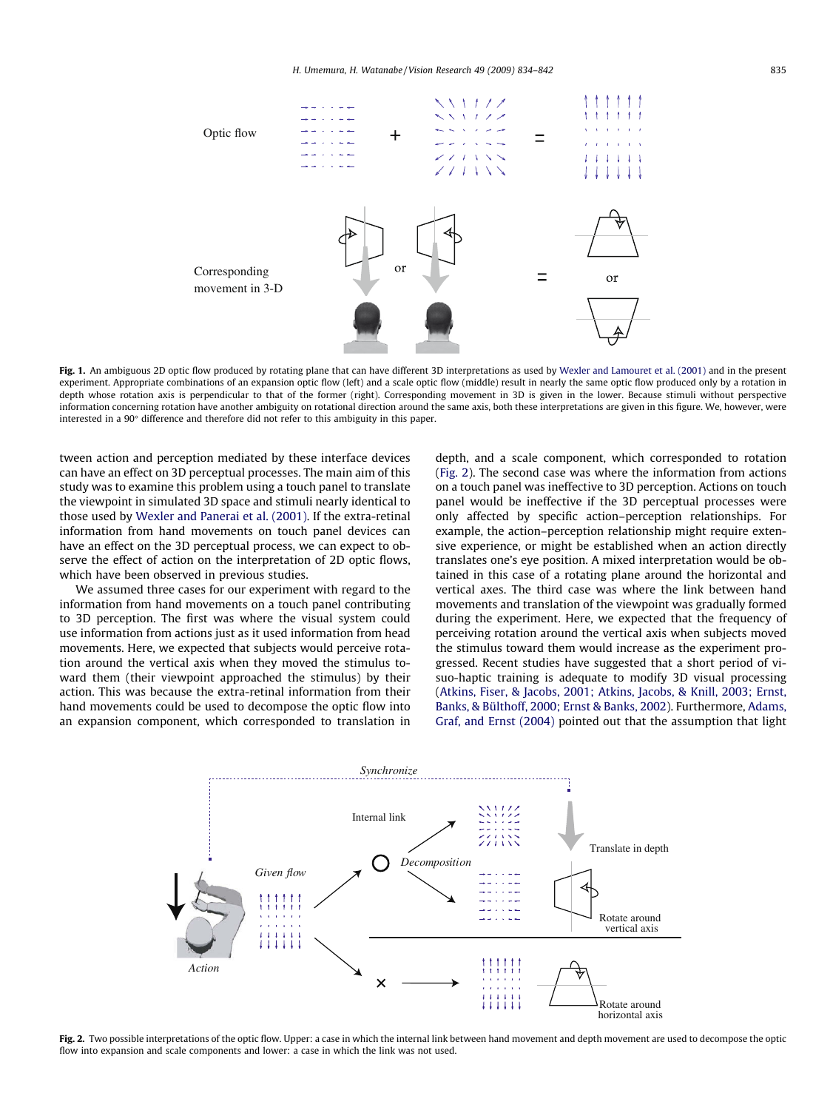<span id="page-1-0"></span>

Fig. 1. An ambiguous 2D optic flow produced by rotating plane that can have different 3D interpretations as used by [Wexler and Lamouret et al. \(2001\)](#page-8-0) and in the present experiment. Appropriate combinations of an expansion optic flow (left) and a scale optic flow (middle) result in nearly the same optic flow produced only by a rotation in depth whose rotation axis is perpendicular to that of the former (right). Corresponding movement in 3D is given in the lower. Because stimuli without perspective information concerning rotation have another ambiguity on rotational direction around the same axis, both these interpretations are given in this figure. We, however, were interested in a 90° difference and therefore did not refer to this ambiguity in this paper.

tween action and perception mediated by these interface devices can have an effect on 3D perceptual processes. The main aim of this study was to examine this problem using a touch panel to translate the viewpoint in simulated 3D space and stimuli nearly identical to those used by [Wexler and Panerai et al. \(2001\)](#page-8-0). If the extra-retinal information from hand movements on touch panel devices can have an effect on the 3D perceptual process, we can expect to observe the effect of action on the interpretation of 2D optic flows, which have been observed in previous studies.

We assumed three cases for our experiment with regard to the information from hand movements on a touch panel contributing to 3D perception. The first was where the visual system could use information from actions just as it used information from head movements. Here, we expected that subjects would perceive rotation around the vertical axis when they moved the stimulus toward them (their viewpoint approached the stimulus) by their action. This was because the extra-retinal information from their hand movements could be used to decompose the optic flow into an expansion component, which corresponded to translation in depth, and a scale component, which corresponded to rotation (Fig. 2). The second case was where the information from actions on a touch panel was ineffective to 3D perception. Actions on touch panel would be ineffective if the 3D perceptual processes were only affected by specific action–perception relationships. For example, the action–perception relationship might require extensive experience, or might be established when an action directly translates one's eye position. A mixed interpretation would be obtained in this case of a rotating plane around the horizontal and vertical axes. The third case was where the link between hand movements and translation of the viewpoint was gradually formed during the experiment. Here, we expected that the frequency of perceiving rotation around the vertical axis when subjects moved the stimulus toward them would increase as the experiment progressed. Recent studies have suggested that a short period of visuo-haptic training is adequate to modify 3D visual processing ([Atkins, Fiser, & Jacobs, 2001; Atkins, Jacobs, & Knill, 2003; Ernst,](#page-8-0) [Banks, & Bülthoff, 2000; Ernst & Banks, 2002\)](#page-8-0). Furthermore, [Adams,](#page-8-0) [Graf, and Ernst \(2004\)](#page-8-0) pointed out that the assumption that light



Fig. 2. Two possible interpretations of the optic flow. Upper: a case in which the internal link between hand movement and depth movement are used to decompose the optic flow into expansion and scale components and lower: a case in which the link was not used.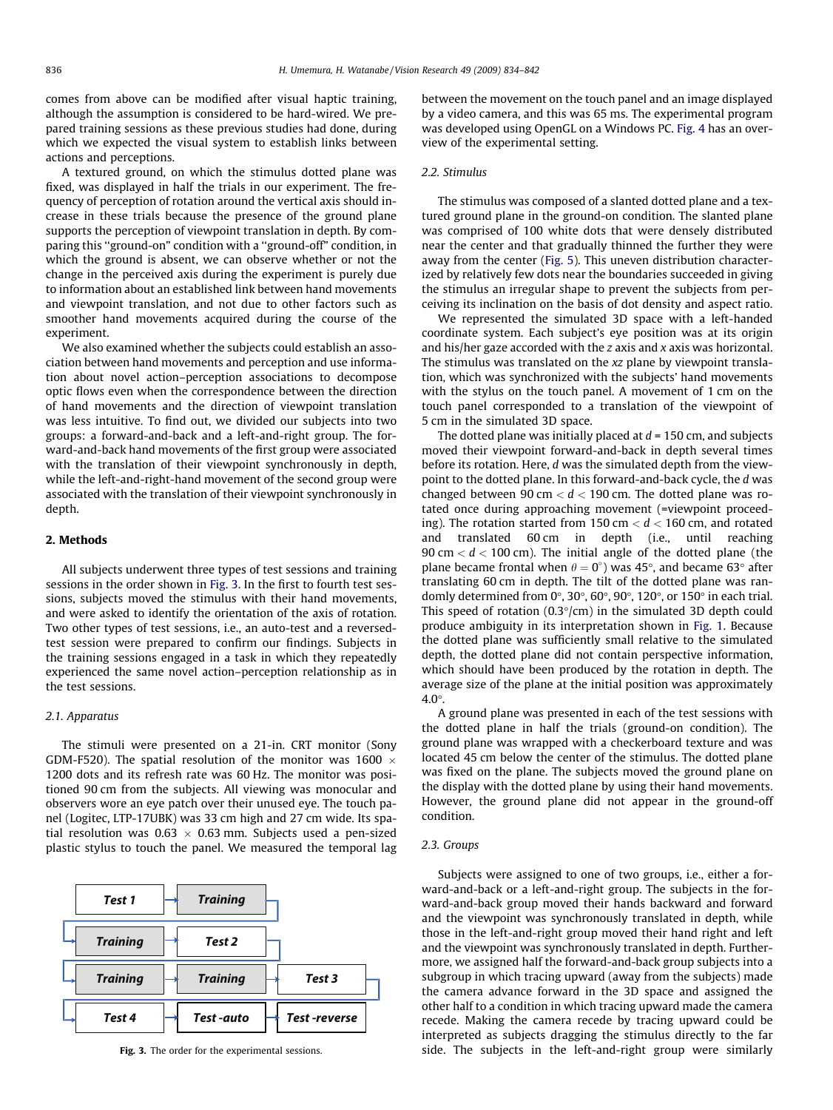<span id="page-2-0"></span>comes from above can be modified after visual haptic training, although the assumption is considered to be hard-wired. We prepared training sessions as these previous studies had done, during which we expected the visual system to establish links between actions and perceptions.

A textured ground, on which the stimulus dotted plane was fixed, was displayed in half the trials in our experiment. The frequency of perception of rotation around the vertical axis should increase in these trials because the presence of the ground plane supports the perception of viewpoint translation in depth. By comparing this ''ground-on" condition with a ''ground-off" condition, in which the ground is absent, we can observe whether or not the change in the perceived axis during the experiment is purely due to information about an established link between hand movements and viewpoint translation, and not due to other factors such as smoother hand movements acquired during the course of the experiment.

We also examined whether the subjects could establish an association between hand movements and perception and use information about novel action–perception associations to decompose optic flows even when the correspondence between the direction of hand movements and the direction of viewpoint translation was less intuitive. To find out, we divided our subjects into two groups: a forward-and-back and a left-and-right group. The forward-and-back hand movements of the first group were associated with the translation of their viewpoint synchronously in depth, while the left-and-right-hand movement of the second group were associated with the translation of their viewpoint synchronously in depth.

# 2. Methods

All subjects underwent three types of test sessions and training sessions in the order shown in Fig. 3. In the first to fourth test sessions, subjects moved the stimulus with their hand movements, and were asked to identify the orientation of the axis of rotation. Two other types of test sessions, i.e., an auto-test and a reversedtest session were prepared to confirm our findings. Subjects in the training sessions engaged in a task in which they repeatedly experienced the same novel action–perception relationship as in the test sessions.

#### 2.1. Apparatus

The stimuli were presented on a 21-in. CRT monitor (Sony GDM-F520). The spatial resolution of the monitor was 1600  $\times$ 1200 dots and its refresh rate was 60 Hz. The monitor was positioned 90 cm from the subjects. All viewing was monocular and observers wore an eye patch over their unused eye. The touch panel (Logitec, LTP-17UBK) was 33 cm high and 27 cm wide. Its spatial resolution was 0.63  $\times$  0.63 mm. Subjects used a pen-sized plastic stylus to touch the panel. We measured the temporal lag



Fig. 3. The order for the experimental sessions.

between the movement on the touch panel and an image displayed by a video camera, and this was 65 ms. The experimental program was developed using OpenGL on a Windows PC. [Fig. 4](#page-3-0) has an overview of the experimental setting.

# 2.2. Stimulus

The stimulus was composed of a slanted dotted plane and a textured ground plane in the ground-on condition. The slanted plane was comprised of 100 white dots that were densely distributed near the center and that gradually thinned the further they were away from the center ([Fig. 5](#page-3-0)). This uneven distribution characterized by relatively few dots near the boundaries succeeded in giving the stimulus an irregular shape to prevent the subjects from perceiving its inclination on the basis of dot density and aspect ratio.

We represented the simulated 3D space with a left-handed coordinate system. Each subject's eye position was at its origin and his/her gaze accorded with the z axis and x axis was horizontal. The stimulus was translated on the xz plane by viewpoint translation, which was synchronized with the subjects' hand movements with the stylus on the touch panel. A movement of 1 cm on the touch panel corresponded to a translation of the viewpoint of 5 cm in the simulated 3D space.

The dotted plane was initially placed at  $d = 150$  cm, and subjects moved their viewpoint forward-and-back in depth several times before its rotation. Here, d was the simulated depth from the viewpoint to the dotted plane. In this forward-and-back cycle, the d was changed between 90 cm  $< d < 190$  cm. The dotted plane was rotated once during approaching movement (=viewpoint proceeding). The rotation started from 150 cm  $< d < 160$  cm, and rotated and translated 60 cm in depth (i.e., until reaching 90 cm  $<$  d  $<$  100 cm). The initial angle of the dotted plane (the plane became frontal when  $\theta = 0^{\circ}$ ) was 45°, and became 63° after translating 60 cm in depth. The tilt of the dotted plane was randomly determined from  $0^\circ$ ,  $30^\circ$ ,  $60^\circ$ ,  $90^\circ$ ,  $120^\circ$ , or  $150^\circ$  in each trial. This speed of rotation (0.3 $\degree$ /cm) in the simulated 3D depth could produce ambiguity in its interpretation shown in [Fig. 1](#page-1-0). Because the dotted plane was sufficiently small relative to the simulated depth, the dotted plane did not contain perspective information, which should have been produced by the rotation in depth. The average size of the plane at the initial position was approximately  $4.0^\circ$ .

A ground plane was presented in each of the test sessions with the dotted plane in half the trials (ground-on condition). The ground plane was wrapped with a checkerboard texture and was located 45 cm below the center of the stimulus. The dotted plane was fixed on the plane. The subjects moved the ground plane on the display with the dotted plane by using their hand movements. However, the ground plane did not appear in the ground-off condition.

## 2.3. Groups

Subjects were assigned to one of two groups, i.e., either a forward-and-back or a left-and-right group. The subjects in the forward-and-back group moved their hands backward and forward and the viewpoint was synchronously translated in depth, while those in the left-and-right group moved their hand right and left and the viewpoint was synchronously translated in depth. Furthermore, we assigned half the forward-and-back group subjects into a subgroup in which tracing upward (away from the subjects) made the camera advance forward in the 3D space and assigned the other half to a condition in which tracing upward made the camera recede. Making the camera recede by tracing upward could be interpreted as subjects dragging the stimulus directly to the far side. The subjects in the left-and-right group were similarly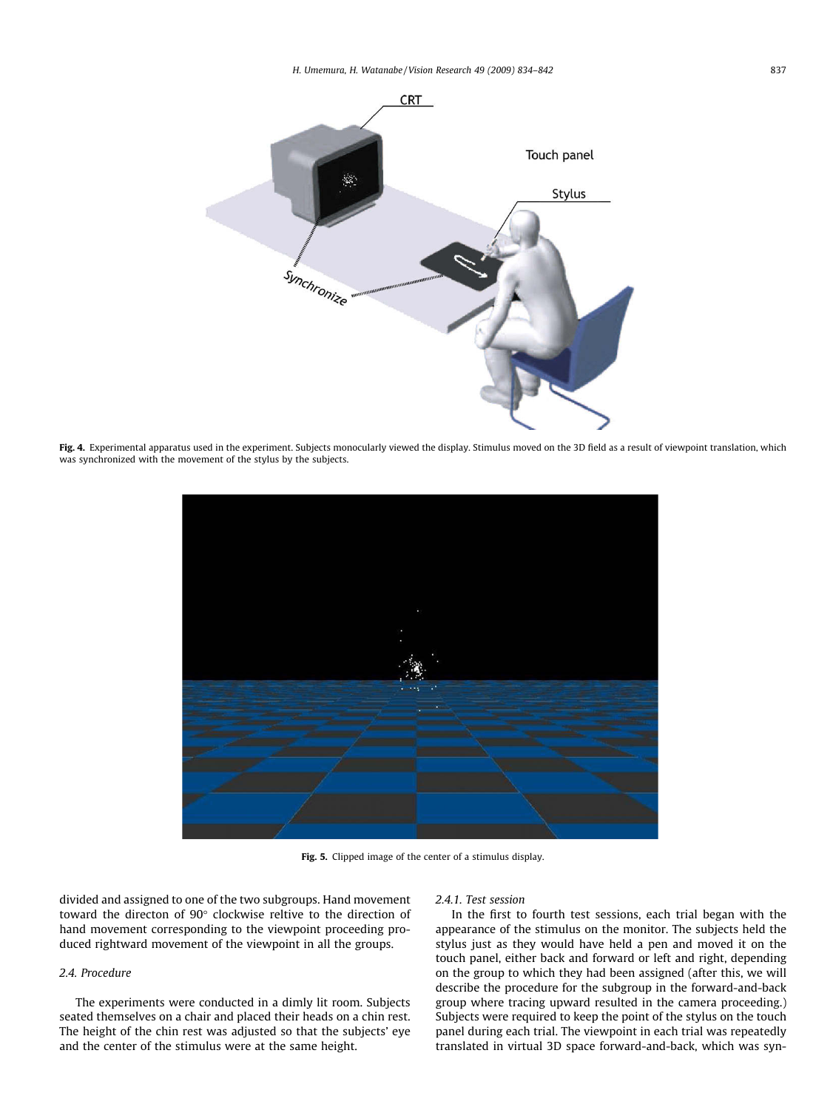<span id="page-3-0"></span>

Fig. 4. Experimental apparatus used in the experiment. Subjects monocularly viewed the display. Stimulus moved on the 3D field as a result of viewpoint translation, which was synchronized with the movement of the stylus by the subjects.



Fig. 5. Clipped image of the center of a stimulus display.

divided and assigned to one of the two subgroups. Hand movement toward the directon of  $90^\circ$  clockwise reltive to the direction of hand movement corresponding to the viewpoint proceeding produced rightward movement of the viewpoint in all the groups.

#### 2.4. Procedure

The experiments were conducted in a dimly lit room. Subjects seated themselves on a chair and placed their heads on a chin rest. The height of the chin rest was adjusted so that the subjects' eye and the center of the stimulus were at the same height.

#### 2.4.1. Test session

In the first to fourth test sessions, each trial began with the appearance of the stimulus on the monitor. The subjects held the stylus just as they would have held a pen and moved it on the touch panel, either back and forward or left and right, depending on the group to which they had been assigned (after this, we will describe the procedure for the subgroup in the forward-and-back group where tracing upward resulted in the camera proceeding.) Subjects were required to keep the point of the stylus on the touch panel during each trial. The viewpoint in each trial was repeatedly translated in virtual 3D space forward-and-back, which was syn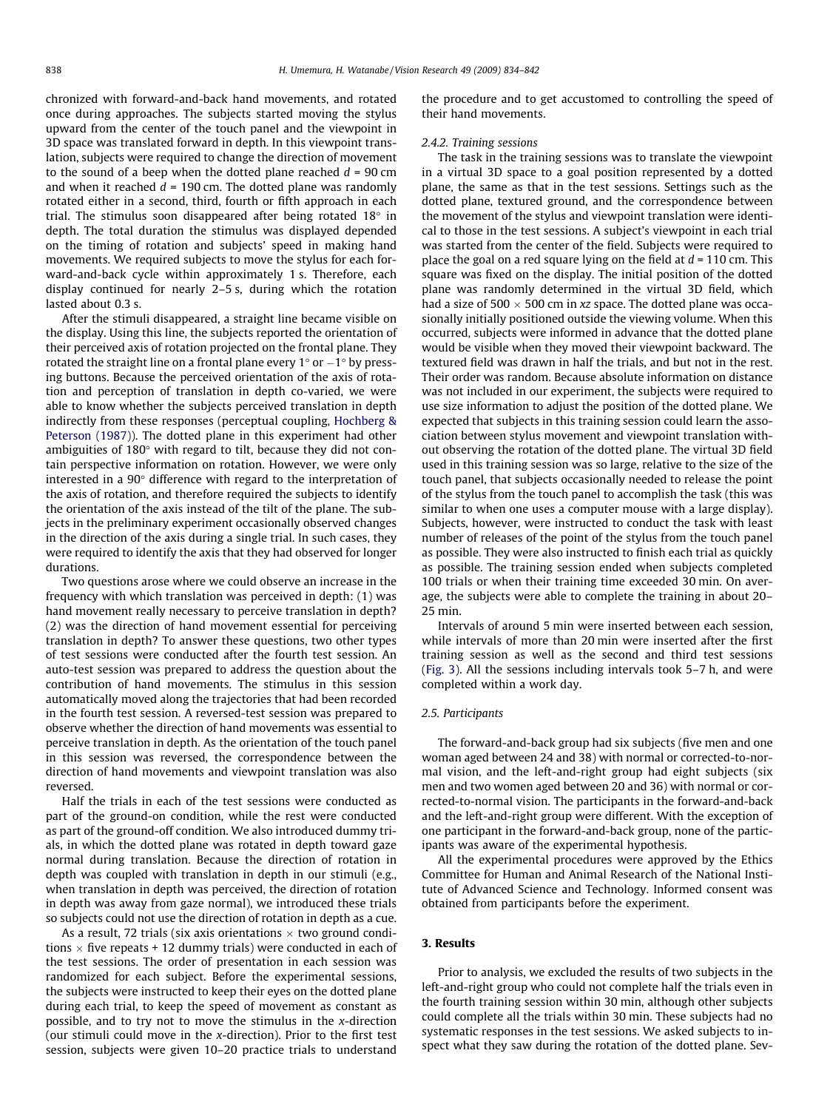chronized with forward-and-back hand movements, and rotated once during approaches. The subjects started moving the stylus upward from the center of the touch panel and the viewpoint in 3D space was translated forward in depth. In this viewpoint translation, subjects were required to change the direction of movement to the sound of a beep when the dotted plane reached  $d = 90$  cm and when it reached  $d = 190$  cm. The dotted plane was randomly rotated either in a second, third, fourth or fifth approach in each trial. The stimulus soon disappeared after being rotated  $18^\circ$  in depth. The total duration the stimulus was displayed depended on the timing of rotation and subjects' speed in making hand movements. We required subjects to move the stylus for each forward-and-back cycle within approximately 1 s. Therefore, each display continued for nearly 2–5 s, during which the rotation lasted about 0.3 s.

After the stimuli disappeared, a straight line became visible on the display. Using this line, the subjects reported the orientation of their perceived axis of rotation projected on the frontal plane. They rotated the straight line on a frontal plane every  $1^{\circ}$  or  $-1^{\circ}$  by pressing buttons. Because the perceived orientation of the axis of rotation and perception of translation in depth co-varied, we were able to know whether the subjects perceived translation in depth indirectly from these responses (perceptual coupling, [Hochberg &](#page-8-0) [Peterson \(1987\)\)](#page-8-0). The dotted plane in this experiment had other ambiguities of  $180^\circ$  with regard to tilt, because they did not contain perspective information on rotation. However, we were only interested in a  $90^{\circ}$  difference with regard to the interpretation of the axis of rotation, and therefore required the subjects to identify the orientation of the axis instead of the tilt of the plane. The subjects in the preliminary experiment occasionally observed changes in the direction of the axis during a single trial. In such cases, they were required to identify the axis that they had observed for longer durations.

Two questions arose where we could observe an increase in the frequency with which translation was perceived in depth: (1) was hand movement really necessary to perceive translation in depth? (2) was the direction of hand movement essential for perceiving translation in depth? To answer these questions, two other types of test sessions were conducted after the fourth test session. An auto-test session was prepared to address the question about the contribution of hand movements. The stimulus in this session automatically moved along the trajectories that had been recorded in the fourth test session. A reversed-test session was prepared to observe whether the direction of hand movements was essential to perceive translation in depth. As the orientation of the touch panel in this session was reversed, the correspondence between the direction of hand movements and viewpoint translation was also reversed.

Half the trials in each of the test sessions were conducted as part of the ground-on condition, while the rest were conducted as part of the ground-off condition. We also introduced dummy trials, in which the dotted plane was rotated in depth toward gaze normal during translation. Because the direction of rotation in depth was coupled with translation in depth in our stimuli (e.g., when translation in depth was perceived, the direction of rotation in depth was away from gaze normal), we introduced these trials so subjects could not use the direction of rotation in depth as a cue.

As a result, 72 trials (six axis orientations  $\times$  two ground conditions  $\times$  five repeats + 12 dummy trials) were conducted in each of the test sessions. The order of presentation in each session was randomized for each subject. Before the experimental sessions, the subjects were instructed to keep their eyes on the dotted plane during each trial, to keep the speed of movement as constant as possible, and to try not to move the stimulus in the x-direction (our stimuli could move in the x-direction). Prior to the first test session, subjects were given 10–20 practice trials to understand the procedure and to get accustomed to controlling the speed of their hand movements.

#### 2.4.2. Training sessions

The task in the training sessions was to translate the viewpoint in a virtual 3D space to a goal position represented by a dotted plane, the same as that in the test sessions. Settings such as the dotted plane, textured ground, and the correspondence between the movement of the stylus and viewpoint translation were identical to those in the test sessions. A subject's viewpoint in each trial was started from the center of the field. Subjects were required to place the goal on a red square lying on the field at  $d = 110$  cm. This square was fixed on the display. The initial position of the dotted plane was randomly determined in the virtual 3D field, which had a size of 500  $\times$  500 cm in xz space. The dotted plane was occasionally initially positioned outside the viewing volume. When this occurred, subjects were informed in advance that the dotted plane would be visible when they moved their viewpoint backward. The textured field was drawn in half the trials, and but not in the rest. Their order was random. Because absolute information on distance was not included in our experiment, the subjects were required to use size information to adjust the position of the dotted plane. We expected that subjects in this training session could learn the association between stylus movement and viewpoint translation without observing the rotation of the dotted plane. The virtual 3D field used in this training session was so large, relative to the size of the touch panel, that subjects occasionally needed to release the point of the stylus from the touch panel to accomplish the task (this was similar to when one uses a computer mouse with a large display). Subjects, however, were instructed to conduct the task with least number of releases of the point of the stylus from the touch panel as possible. They were also instructed to finish each trial as quickly as possible. The training session ended when subjects completed 100 trials or when their training time exceeded 30 min. On average, the subjects were able to complete the training in about 20– 25 min.

Intervals of around 5 min were inserted between each session, while intervals of more than 20 min were inserted after the first training session as well as the second and third test sessions ([Fig. 3\)](#page-2-0). All the sessions including intervals took 5–7 h, and were completed within a work day.

#### 2.5. Participants

The forward-and-back group had six subjects (five men and one woman aged between 24 and 38) with normal or corrected-to-normal vision, and the left-and-right group had eight subjects (six men and two women aged between 20 and 36) with normal or corrected-to-normal vision. The participants in the forward-and-back and the left-and-right group were different. With the exception of one participant in the forward-and-back group, none of the participants was aware of the experimental hypothesis.

All the experimental procedures were approved by the Ethics Committee for Human and Animal Research of the National Institute of Advanced Science and Technology. Informed consent was obtained from participants before the experiment.

# 3. Results

Prior to analysis, we excluded the results of two subjects in the left-and-right group who could not complete half the trials even in the fourth training session within 30 min, although other subjects could complete all the trials within 30 min. These subjects had no systematic responses in the test sessions. We asked subjects to inspect what they saw during the rotation of the dotted plane. Sev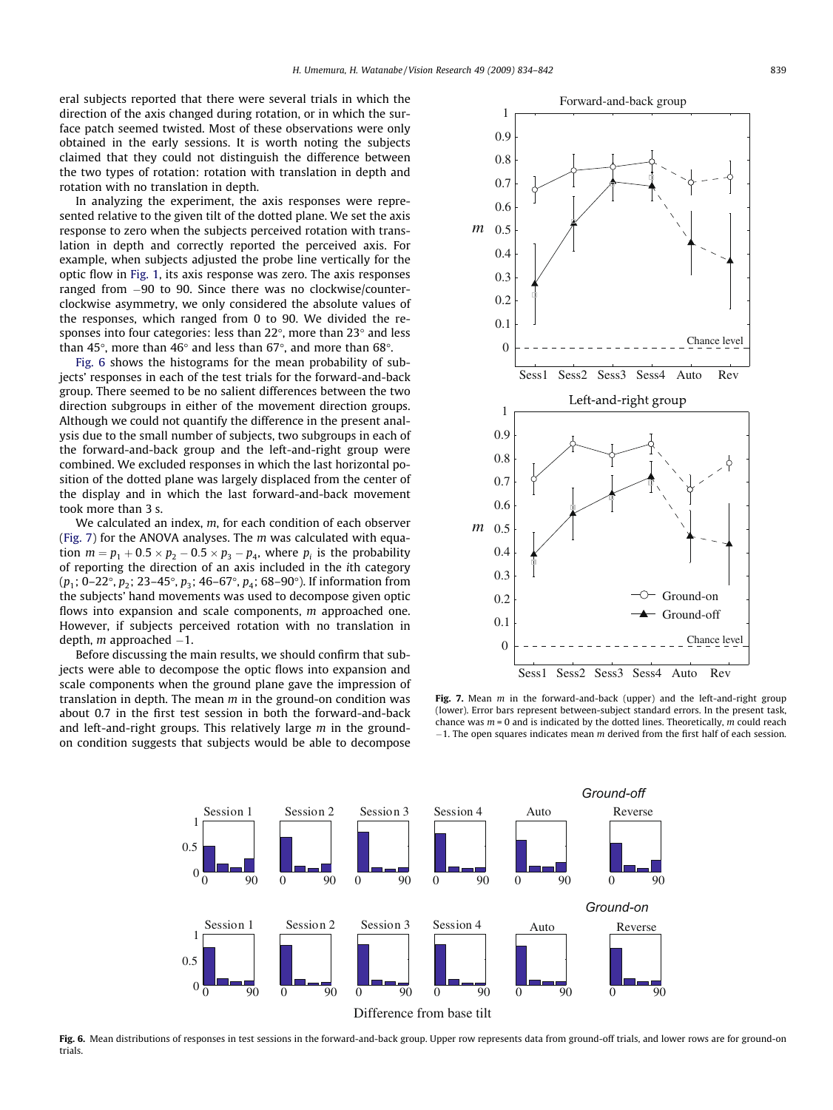<span id="page-5-0"></span>eral subjects reported that there were several trials in which the direction of the axis changed during rotation, or in which the surface patch seemed twisted. Most of these observations were only obtained in the early sessions. It is worth noting the subjects claimed that they could not distinguish the difference between the two types of rotation: rotation with translation in depth and rotation with no translation in depth.

In analyzing the experiment, the axis responses were represented relative to the given tilt of the dotted plane. We set the axis response to zero when the subjects perceived rotation with translation in depth and correctly reported the perceived axis. For example, when subjects adjusted the probe line vertically for the optic flow in [Fig. 1,](#page-1-0) its axis response was zero. The axis responses ranged from -90 to 90. Since there was no clockwise/counterclockwise asymmetry, we only considered the absolute values of the responses, which ranged from 0 to 90. We divided the responses into four categories: less than  $22^{\circ}$ , more than  $23^{\circ}$  and less than 45 $^{\circ}$ , more than 46 $^{\circ}$  and less than 67 $^{\circ}$ , and more than 68 $^{\circ}$ .

Fig. 6 shows the histograms for the mean probability of subjects' responses in each of the test trials for the forward-and-back group. There seemed to be no salient differences between the two direction subgroups in either of the movement direction groups. Although we could not quantify the difference in the present analysis due to the small number of subjects, two subgroups in each of the forward-and-back group and the left-and-right group were combined. We excluded responses in which the last horizontal position of the dotted plane was largely displaced from the center of the display and in which the last forward-and-back movement took more than 3 s.

We calculated an index, m, for each condition of each observer (Fig. 7) for the ANOVA analyses. The  $m$  was calculated with equation  $m = p_1 + 0.5 \times p_2 - 0.5 \times p_3 - p_4$ , where  $p_i$  is the probability of reporting the direction of an axis included in the ith category  $(p_1; 0-22^{\circ}, p_2; 23-45^{\circ}, p_3; 46-67^{\circ}, p_4; 68-90^{\circ})$ . If information from the subjects' hand movements was used to decompose given optic flows into expansion and scale components, m approached one. However, if subjects perceived rotation with no translation in depth,  $m$  approached  $-1$ .

Before discussing the main results, we should confirm that subjects were able to decompose the optic flows into expansion and scale components when the ground plane gave the impression of translation in depth. The mean  $m$  in the ground-on condition was about 0.7 in the first test session in both the forward-and-back and left-and-right groups. This relatively large m in the groundon condition suggests that subjects would be able to decompose



Fig. 7. Mean  $m$  in the forward-and-back (upper) and the left-and-right group (lower). Error bars represent between-subject standard errors. In the present task, chance was  $m = 0$  and is indicated by the dotted lines. Theoretically, m could reach  $-1$ . The open squares indicates mean m derived from the first half of each session.



Fig. 6. Mean distributions of responses in test sessions in the forward-and-back group. Upper row represents data from ground-off trials, and lower rows are for ground-on trials.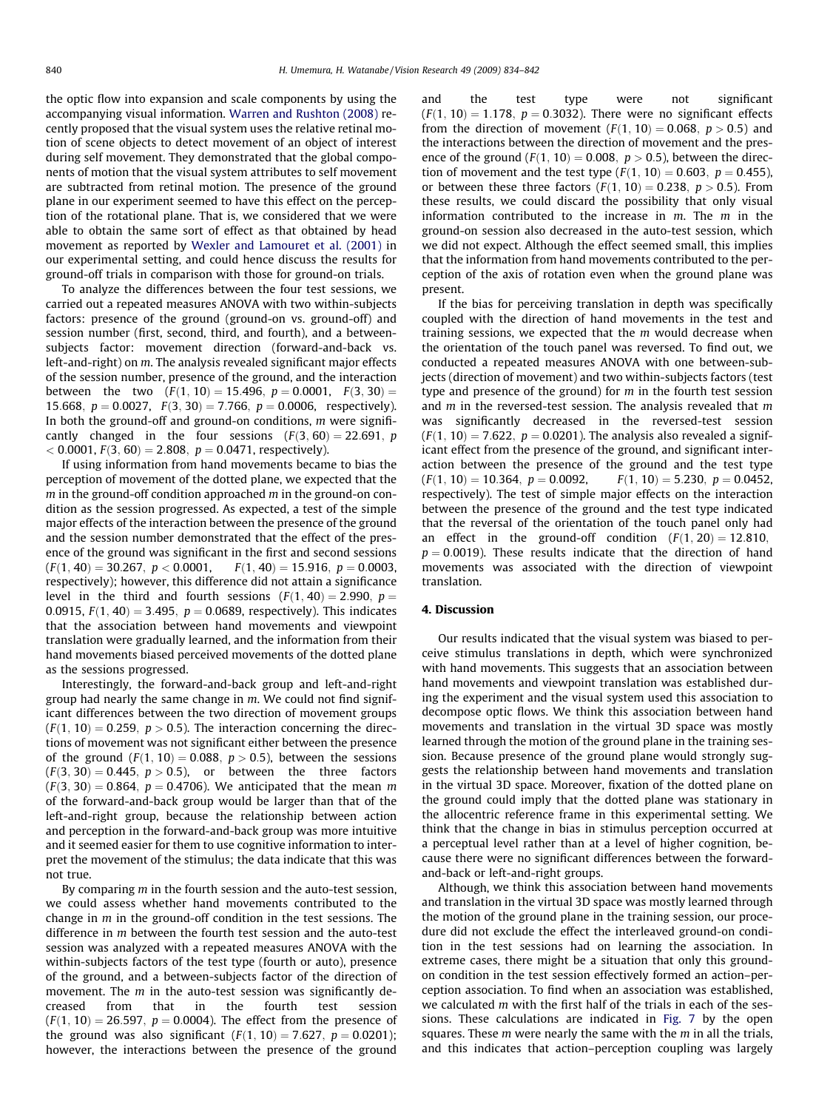the optic flow into expansion and scale components by using the accompanying visual information. [Warren and Rushton \(2008\)](#page-8-0) recently proposed that the visual system uses the relative retinal motion of scene objects to detect movement of an object of interest during self movement. They demonstrated that the global components of motion that the visual system attributes to self movement are subtracted from retinal motion. The presence of the ground plane in our experiment seemed to have this effect on the perception of the rotational plane. That is, we considered that we were able to obtain the same sort of effect as that obtained by head movement as reported by [Wexler and Lamouret et al. \(2001\)](#page-8-0) in our experimental setting, and could hence discuss the results for ground-off trials in comparison with those for ground-on trials.

To analyze the differences between the four test sessions, we carried out a repeated measures ANOVA with two within-subjects factors: presence of the ground (ground-on vs. ground-off) and session number (first, second, third, and fourth), and a betweensubjects factor: movement direction (forward-and-back vs. left-and-right) on m. The analysis revealed significant major effects of the session number, presence of the ground, and the interaction between the two  $(F(1, 10) = 15.496, p = 0.0001, F(3, 30) =$ 15.668,  $p = 0.0027$ ,  $F(3, 30) = 7.766$ ,  $p = 0.0006$ , respectively). In both the ground-off and ground-on conditions, m were significantly changed in the four sessions  $(F(3, 60) = 22.691, p$  $(0.0001, F(3, 60) = 2.808, p = 0.0471,$  respectively).

If using information from hand movements became to bias the perception of movement of the dotted plane, we expected that the  $m$  in the ground-off condition approached  $m$  in the ground-on condition as the session progressed. As expected, a test of the simple major effects of the interaction between the presence of the ground and the session number demonstrated that the effect of the presence of the ground was significant in the first and second sessions  $(F(1, 40) = 30.267, p < 0.0001, F(1, 40) = 15.916, p = 0.0003,$ respectively); however, this difference did not attain a significance level in the third and fourth sessions  $(F(1, 40) = 2.990, p =$ 0.0915,  $F(1, 40) = 3.495$ ,  $p = 0.0689$ , respectively). This indicates that the association between hand movements and viewpoint translation were gradually learned, and the information from their hand movements biased perceived movements of the dotted plane as the sessions progressed.

Interestingly, the forward-and-back group and left-and-right group had nearly the same change in m. We could not find significant differences between the two direction of movement groups  $(F(1, 10) = 0.259, p > 0.5)$ . The interaction concerning the directions of movement was not significant either between the presence of the ground  $(F(1, 10) = 0.088, p > 0.5)$ , between the sessions  $(F(3, 30) = 0.445, p > 0.5)$ , or between the three factors  $(F(3, 30) = 0.864, p = 0.4706)$ . We anticipated that the mean m of the forward-and-back group would be larger than that of the left-and-right group, because the relationship between action and perception in the forward-and-back group was more intuitive and it seemed easier for them to use cognitive information to interpret the movement of the stimulus; the data indicate that this was not true.

By comparing m in the fourth session and the auto-test session, we could assess whether hand movements contributed to the change in  $m$  in the ground-off condition in the test sessions. The difference in m between the fourth test session and the auto-test session was analyzed with a repeated measures ANOVA with the within-subjects factors of the test type (fourth or auto), presence of the ground, and a between-subjects factor of the direction of movement. The *m* in the auto-test session was significantly decreased from that in the fourth test session  $(F(1, 10) = 26.597, p = 0.0004)$ . The effect from the presence of the ground was also significant  $(F(1, 10) = 7.627, p = 0.0201)$ ; however, the interactions between the presence of the ground

and the test type were not significant  $(F(1, 10) = 1.178, p = 0.3032)$ . There were no significant effects from the direction of movement  $(F(1, 10) = 0.068, p > 0.5)$  and the interactions between the direction of movement and the presence of the ground  $(F(1, 10) = 0.008, p > 0.5)$ , between the direction of movement and the test type  $(F(1, 10) = 0.603, p = 0.455)$ , or between these three factors  $(F(1, 10) = 0.238, p > 0.5)$ . From these results, we could discard the possibility that only visual information contributed to the increase in  $m$ . The  $m$  in the ground-on session also decreased in the auto-test session, which we did not expect. Although the effect seemed small, this implies that the information from hand movements contributed to the perception of the axis of rotation even when the ground plane was present.

If the bias for perceiving translation in depth was specifically coupled with the direction of hand movements in the test and training sessions, we expected that the m would decrease when the orientation of the touch panel was reversed. To find out, we conducted a repeated measures ANOVA with one between-subjects (direction of movement) and two within-subjects factors (test type and presence of the ground) for  $m$  in the fourth test session and  $m$  in the reversed-test session. The analysis revealed that  $m$ was significantly decreased in the reversed-test session  $(F(1, 10) = 7.622, p = 0.0201)$ . The analysis also revealed a significant effect from the presence of the ground, and significant interaction between the presence of the ground and the test type  $(F(1, 10) = 10.364, p = 0.0092,$   $F(1, 10) = 5.230, p = 0.0452,$ respectively). The test of simple major effects on the interaction between the presence of the ground and the test type indicated that the reversal of the orientation of the touch panel only had an effect in the ground-off condition  $(F(1, 20) = 12.810,$  $p = 0.0019$ ). These results indicate that the direction of hand movements was associated with the direction of viewpoint translation.

#### 4. Discussion

Our results indicated that the visual system was biased to perceive stimulus translations in depth, which were synchronized with hand movements. This suggests that an association between hand movements and viewpoint translation was established during the experiment and the visual system used this association to decompose optic flows. We think this association between hand movements and translation in the virtual 3D space was mostly learned through the motion of the ground plane in the training session. Because presence of the ground plane would strongly suggests the relationship between hand movements and translation in the virtual 3D space. Moreover, fixation of the dotted plane on the ground could imply that the dotted plane was stationary in the allocentric reference frame in this experimental setting. We think that the change in bias in stimulus perception occurred at a perceptual level rather than at a level of higher cognition, because there were no significant differences between the forwardand-back or left-and-right groups.

Although, we think this association between hand movements and translation in the virtual 3D space was mostly learned through the motion of the ground plane in the training session, our procedure did not exclude the effect the interleaved ground-on condition in the test sessions had on learning the association. In extreme cases, there might be a situation that only this groundon condition in the test session effectively formed an action–perception association. To find when an association was established, we calculated  $m$  with the first half of the trials in each of the sessions. These calculations are indicated in [Fig. 7](#page-5-0) by the open squares. These  $m$  were nearly the same with the  $m$  in all the trials, and this indicates that action–perception coupling was largely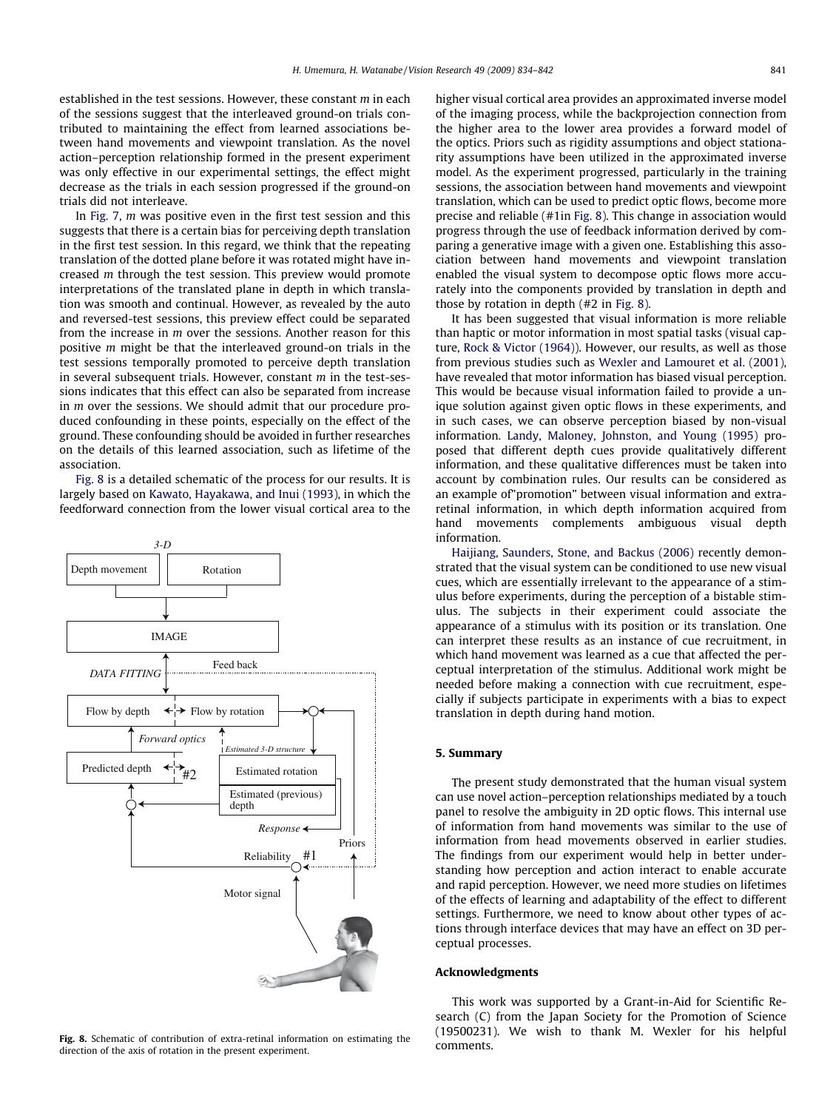established in the test sessions. However, these constant m in each of the sessions suggest that the interleaved ground-on trials contributed to maintaining the effect from learned associations between hand movements and viewpoint translation. As the novel action–perception relationship formed in the present experiment was only effective in our experimental settings, the effect might decrease as the trials in each session progressed if the ground-on trials did not interleave.

In [Fig. 7](#page-5-0), m was positive even in the first test session and this suggests that there is a certain bias for perceiving depth translation in the first test session. In this regard, we think that the repeating translation of the dotted plane before it was rotated might have increased  $m$  through the test session. This preview would promote interpretations of the translated plane in depth in which translation was smooth and continual. However, as revealed by the auto and reversed-test sessions, this preview effect could be separated from the increase in m over the sessions. Another reason for this positive m might be that the interleaved ground-on trials in the test sessions temporally promoted to perceive depth translation in several subsequent trials. However, constant  $m$  in the test-sessions indicates that this effect can also be separated from increase in m over the sessions. We should admit that our procedure produced confounding in these points, especially on the effect of the ground. These confounding should be avoided in further researches on the details of this learned association, such as lifetime of the association.

Fig. 8 is a detailed schematic of the process for our results. It is largely based on [Kawato, Hayakawa, and Inui \(1993\),](#page-8-0) in which the feedforward connection from the lower visual cortical area to the



Fig. 8. Schematic of contribution of extra-retinal information on estimating the direction of the axis of rotation in the present experiment.

higher visual cortical area provides an approximated inverse model of the imaging process, while the backprojection connection from the higher area to the lower area provides a forward model of the optics. Priors such as rigidity assumptions and object stationarity assumptions have been utilized in the approximated inverse model. As the experiment progressed, particularly in the training sessions, the association between hand movements and viewpoint translation, which can be used to predict optic flows, become more precise and reliable (#1in Fig. 8). This change in association would progress through the use of feedback information derived by comparing a generative image with a given one. Establishing this association between hand movements and viewpoint translation enabled the visual system to decompose optic flows more accurately into the components provided by translation in depth and those by rotation in depth (#2 in Fig. 8).

It has been suggested that visual information is more reliable than haptic or motor information in most spatial tasks (visual capture, [Rock & Victor \(1964\)](#page-8-0)). However, our results, as well as those from previous studies such as [Wexler and Lamouret et al. \(2001\),](#page-8-0) have revealed that motor information has biased visual perception. This would be because visual information failed to provide a unique solution against given optic flows in these experiments, and in such cases, we can observe perception biased by non-visual information. [Landy, Maloney, Johnston, and Young \(1995\)](#page-8-0) proposed that different depth cues provide qualitatively different information, and these qualitative differences must be taken into account by combination rules. Our results can be considered as an example of"promotion" between visual information and extraretinal information, in which depth information acquired from hand movements complements ambiguous visual depth information.

[Haijiang, Saunders, Stone, and Backus \(2006\)](#page-8-0) recently demonstrated that the visual system can be conditioned to use new visual cues, which are essentially irrelevant to the appearance of a stimulus before experiments, during the perception of a bistable stimulus. The subjects in their experiment could associate the appearance of a stimulus with its position or its translation. One can interpret these results as an instance of cue recruitment, in which hand movement was learned as a cue that affected the perceptual interpretation of the stimulus. Additional work might be needed before making a connection with cue recruitment, especially if subjects participate in experiments with a bias to expect translation in depth during hand motion.

#### 5. Summary

The present study demonstrated that the human visual system can use novel action–perception relationships mediated by a touch panel to resolve the ambiguity in 2D optic flows. This internal use of information from hand movements was similar to the use of information from head movements observed in earlier studies. The findings from our experiment would help in better understanding how perception and action interact to enable accurate and rapid perception. However, we need more studies on lifetimes of the effects of learning and adaptability of the effect to different settings. Furthermore, we need to know about other types of actions through interface devices that may have an effect on 3D perceptual processes.

#### Acknowledgments

This work was supported by a Grant-in-Aid for Scientific Research (C) from the Japan Society for the Promotion of Science (19500231). We wish to thank M. Wexler for his helpful comments.